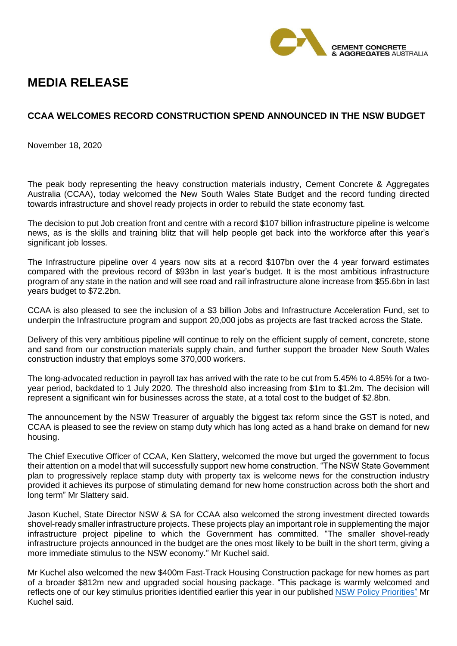

## **MEDIA RELEASE**

## **CCAA WELCOMES RECORD CONSTRUCTION SPEND ANNOUNCED IN THE NSW BUDGET**

November 18, 2020

The peak body representing the heavy construction materials industry, Cement Concrete & Aggregates Australia (CCAA), today welcomed the New South Wales State Budget and the record funding directed towards infrastructure and shovel ready projects in order to rebuild the state economy fast.

The decision to put Job creation front and centre with a record \$107 billion infrastructure pipeline is welcome news, as is the skills and training blitz that will help people get back into the workforce after this year's significant job losses.

The Infrastructure pipeline over 4 years now sits at a record \$107bn over the 4 year forward estimates compared with the previous record of \$93bn in last year's budget. It is the most ambitious infrastructure program of any state in the nation and will see road and rail infrastructure alone increase from \$55.6bn in last years budget to \$72.2bn.

CCAA is also pleased to see the inclusion of a \$3 billion Jobs and Infrastructure Acceleration Fund, set to underpin the Infrastructure program and support 20,000 jobs as projects are fast tracked across the State.

Delivery of this very ambitious pipeline will continue to rely on the efficient supply of cement, concrete, stone and sand from our construction materials supply chain, and further support the broader New South Wales construction industry that employs some 370,000 workers.

The long-advocated reduction in payroll tax has arrived with the rate to be cut from 5.45% to 4.85% for a twoyear period, backdated to 1 July 2020. The threshold also increasing from \$1m to \$1.2m. The decision will represent a significant win for businesses across the state, at a total cost to the budget of \$2.8bn.

The announcement by the NSW Treasurer of arguably the biggest tax reform since the GST is noted, and CCAA is pleased to see the review on stamp duty which has long acted as a hand brake on demand for new housing.

The Chief Executive Officer of CCAA, Ken Slattery, welcomed the move but urged the government to focus their attention on a model that will successfully support new home construction. "The NSW State Government plan to progressively replace stamp duty with property tax is welcome news for the construction industry provided it achieves its purpose of stimulating demand for new home construction across both the short and long term" Mr Slattery said.

Jason Kuchel, State Director NSW & SA for CCAA also welcomed the strong investment directed towards shovel-ready smaller infrastructure projects. These projects play an important role in supplementing the major infrastructure project pipeline to which the Government has committed. "The smaller shovel-ready infrastructure projects announced in the budget are the ones most likely to be built in the short term, giving a more immediate stimulus to the NSW economy." Mr Kuchel said.

Mr Kuchel also welcomed the new \$400m Fast-Track Housing Construction package for new homes as part of a broader \$812m new and upgraded social housing package. "This package is warmly welcomed and reflects one of our key stimulus priorities identified earlier this year in our published [NSW Policy Priorities"](https://www.ccaa.com.au/imis_prod/documents/1991_NSW_Policy%20Priorities_web_R6.pdf) Mr Kuchel said.